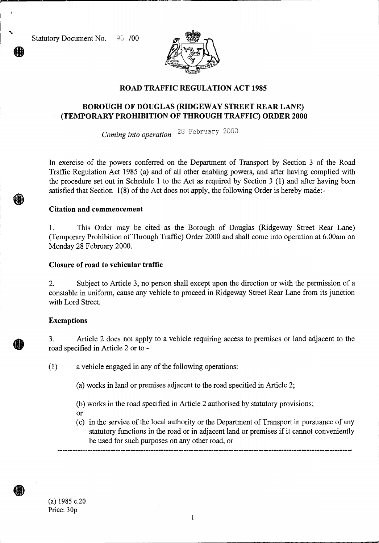Statutory Document No. 90 /00



## **ROAD TRAFFIC REGULATION ACT 1985**

# **BOROUGH OF DOUGLAS (RIDGEWAY STREET REAR LANE) - (TEMPORARY PROHIBITION OF THROUGH TRAFFIC) ORDER 2000**

*Coming into operation* 23 February 2000

In exercise of the powers conferred on the Department of Transport by Section 3 of the Road Traffic Regulation Act 1985 (a) and of all other enabling powers, and after having complied with the procedure set out in Schedule 1 to the Act as required by Section 3 (1) and after having been satisfied that Section 1(8) of the Act does not apply, the following Order is hereby made:-

### **Citation and commencement**

1. This Order may be cited as the Borough of Douglas (Ridgeway Street Rear Lane) (Temporary Prohibition of Through Traffic) Order 2000 and shall come into operation at 6.00am on Monday 28 February 2000.

### **Closure of road to vehicular traffic**

2. Subject to Article 3, no person shall except upon the direction or with the permission of a constable in uniform, cause any vehicle to proceed in Ridgeway Street Rear Lane from its junction with Lord Street.

### **Exemptions**

3. Article 2 does not apply to a vehicle requiring access to premises or land adjacent to the road specified in Article 2 or to -

( <sup>1</sup> ) a vehicle engaged in any of the following operations:

- (a) works in land or premises adjacent to the road specified in Article 2;
- (b) works in the road specified in Article 2 authorised by statutory provisions;
- or
- (c) in the service of the local authority or the Department of Transport in pursuance of any statutory functions in the road or in adjacent land or premises if it cannot conveniently be used for such purposes on any other road, or

.41